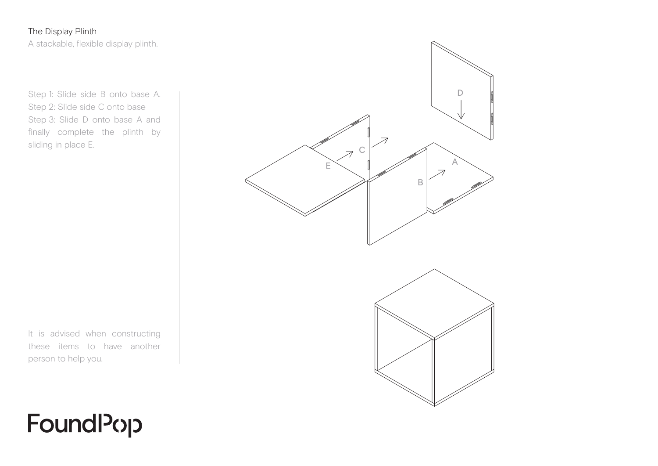#### The Display Plinth

A stackable, flexible display plinth.

Step 1: Slide side B onto base A. Step 2: Slide side C onto base Step 3: Slide D onto base A and finally complete the plinth by sliding in place E.



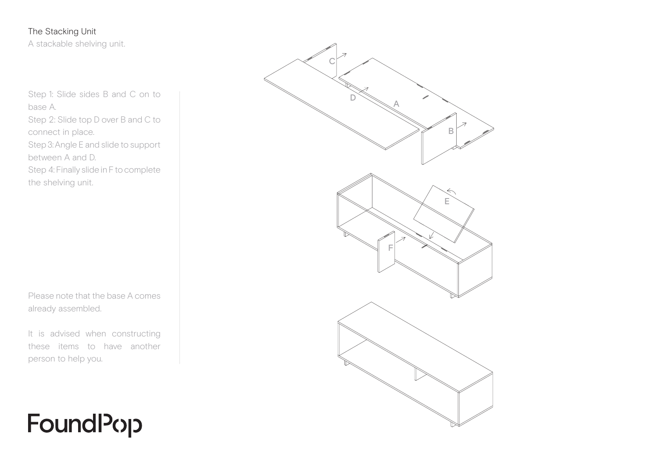## The Stacking Unit

A stackable shelving unit.

Step 1: Slide sides B and C on to base A. Step 2: Slide top D over B and C to connect in place. Step 3: Angle E and slide to support between A and D. Step 4: Finally slide in F to complete the shelving unit.

Please note that the base A comes already assembled.



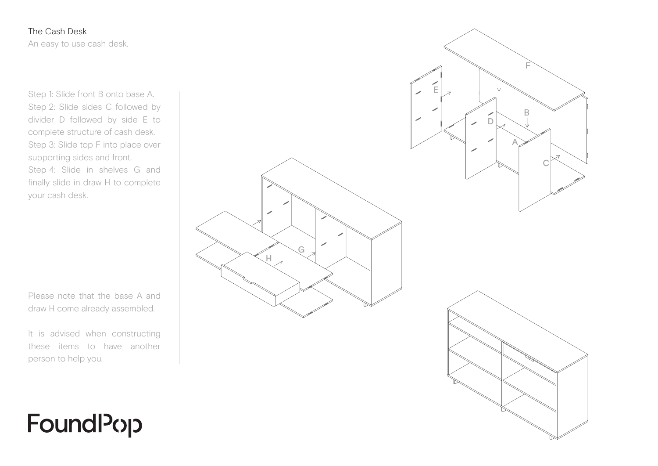### The Cash Desk

An easy to use cash desk.

Step 1: Slide front B onto base A. Step 2: Slide sides C followed by divider D followed by side E to complete structure of cash desk. Step 3: Slide top F into place over supporting sides and front. Step 4: Slide in shelves G and finally slide in draw H to complete your cash desk.

Please note that the base A and draw H come already assembled.

It is advised when constructing these items to have another person to help you.

FoundPop

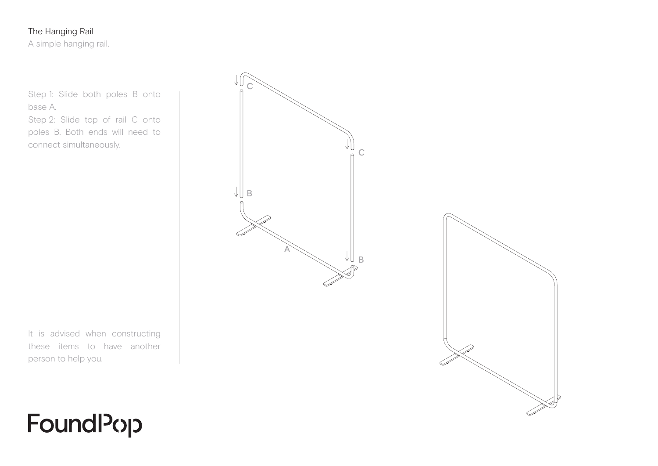# The Hanging Rail

A simple hanging rail.

Step 1: Slide both poles B onto base A.

Step 2: Slide top of rail C onto poles B. Both ends will need to connect simultaneously.